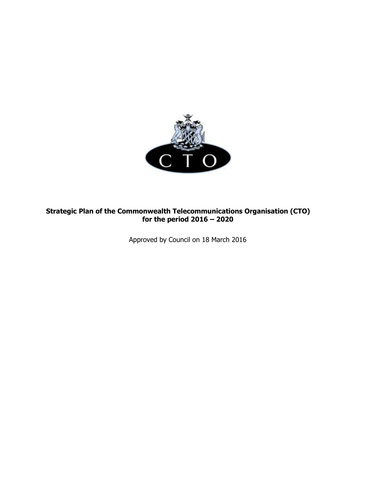

### **Strategic Plan of the Commonwealth Telecommunications Organisation (CTO) for the period 2016 – 2020**

Approved by Council on 18 March 2016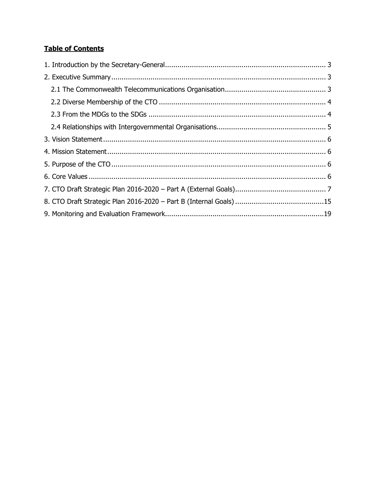## **Table of Contents**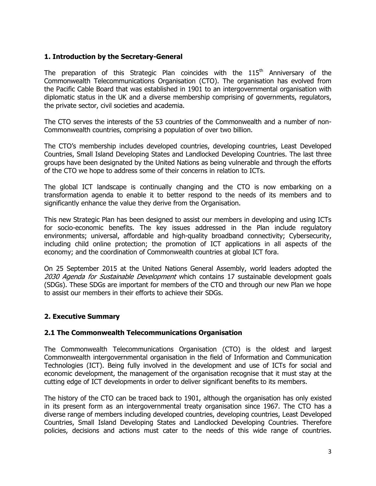#### <span id="page-2-0"></span>**1. Introduction by the Secretary-General**

The preparation of this Strategic Plan coincides with the  $115<sup>th</sup>$  Anniversary of the Commonwealth Telecommunications Organisation (CTO). The organisation has evolved from the Pacific Cable Board that was established in 1901 to an intergovernmental organisation with diplomatic status in the UK and a diverse membership comprising of governments, regulators, the private sector, civil societies and academia.

The CTO serves the interests of the 53 countries of the Commonwealth and a number of non-Commonwealth countries, comprising a population of over two billion.

The CTO's membership includes developed countries, developing countries, Least Developed Countries, Small Island Developing States and Landlocked Developing Countries. The last three groups have been designated by the United Nations as being vulnerable and through the efforts of the CTO we hope to address some of their concerns in relation to ICTs.

The global ICT landscape is continually changing and the CTO is now embarking on a transformation agenda to enable it to better respond to the needs of its members and to significantly enhance the value they derive from the Organisation.

This new Strategic Plan has been designed to assist our members in developing and using ICTs for socio-economic benefits. The key issues addressed in the Plan include regulatory environments; universal, affordable and high-quality broadband connectivity; Cybersecurity, including child online protection; the promotion of ICT applications in all aspects of the economy; and the coordination of Commonwealth countries at global ICT fora.

On 25 September 2015 at the United Nations General Assembly, world leaders adopted the 2030 Agenda for Sustainable Development which contains 17 sustainable development goals (SDGs). These SDGs are important for members of the CTO and through our new Plan we hope to assist our members in their efforts to achieve their SDGs.

#### <span id="page-2-1"></span>**2. Executive Summary**

#### <span id="page-2-2"></span>**2.1 The Commonwealth Telecommunications Organisation**

The Commonwealth Telecommunications Organisation (CTO) is the oldest and largest Commonwealth intergovernmental organisation in the field of Information and Communication Technologies (ICT). Being fully involved in the development and use of ICTs for social and economic development, the management of the organisation recognise that it must stay at the cutting edge of ICT developments in order to deliver significant benefits to its members.

The history of the CTO can be traced back to 1901, although the organisation has only existed in its present form as an intergovernmental treaty organisation since 1967. The CTO has a diverse range of members including developed countries, developing countries, Least Developed Countries, Small Island Developing States and Landlocked Developing Countries. Therefore policies, decisions and actions must cater to the needs of this wide range of countries.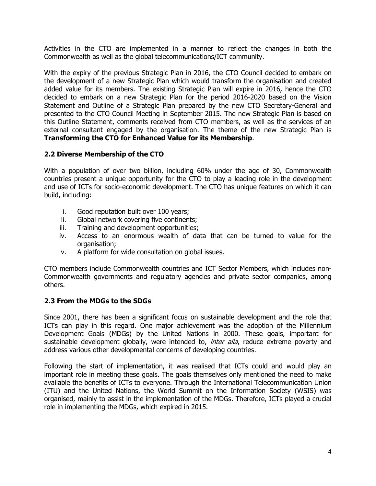Activities in the CTO are implemented in a manner to reflect the changes in both the Commonwealth as well as the global telecommunications/ICT community.

With the expiry of the previous Strategic Plan in 2016, the CTO Council decided to embark on the development of a new Strategic Plan which would transform the organisation and created added value for its members. The existing Strategic Plan will expire in 2016, hence the CTO decided to embark on a new Strategic Plan for the period 2016-2020 based on the Vision Statement and Outline of a Strategic Plan prepared by the new CTO Secretary-General and presented to the CTO Council Meeting in September 2015. The new Strategic Plan is based on this Outline Statement, comments received from CTO members, as well as the services of an external consultant engaged by the organisation. The theme of the new Strategic Plan is **Transforming the CTO for Enhanced Value for its Membership**.

#### <span id="page-3-0"></span>**2.2 Diverse Membership of the CTO**

With a population of over two billion, including 60% under the age of 30, Commonwealth countries present a unique opportunity for the CTO to play a leading role in the development and use of ICTs for socio-economic development. The CTO has unique features on which it can build, including:

- i. Good reputation built over 100 years;
- ii. Global network covering five continents;
- iii. Training and development opportunities;
- iv. Access to an enormous wealth of data that can be turned to value for the organisation;
- v. A platform for wide consultation on global issues.

CTO members include Commonwealth countries and ICT Sector Members, which includes non-Commonwealth governments and regulatory agencies and private sector companies, among others.

#### <span id="page-3-1"></span>**2.3 From the MDGs to the SDGs**

Since 2001, there has been a significant focus on sustainable development and the role that ICTs can play in this regard. One major achievement was the adoption of the Millennium Development Goals (MDGs) by the United Nations in 2000. These goals, important for sustainable development globally, were intended to, *inter alia*, reduce extreme poverty and address various other developmental concerns of developing countries.

Following the start of implementation, it was realised that ICTs could and would play an important role in meeting these goals. The goals themselves only mentioned the need to make available the benefits of ICTs to everyone. Through the International Telecommunication Union (ITU) and the United Nations, the World Summit on the Information Society (WSIS) was organised, mainly to assist in the implementation of the MDGs. Therefore, ICTs played a crucial role in implementing the MDGs, which expired in 2015.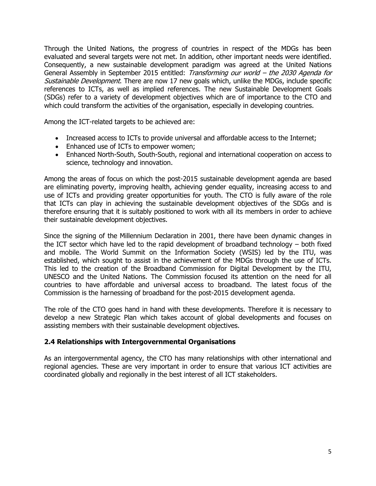Through the United Nations, the progress of countries in respect of the MDGs has been evaluated and several targets were not met. In addition, other important needs were identified. Consequently, a new sustainable development paradigm was agreed at the United Nations General Assembly in September 2015 entitled: Transforming our world – the 2030 Agenda for Sustainable Development. There are now 17 new goals which, unlike the MDGs, include specific references to ICTs, as well as implied references. The new Sustainable Development Goals (SDGs) refer to a variety of development objectives which are of importance to the CTO and which could transform the activities of the organisation, especially in developing countries.

Among the ICT-related targets to be achieved are:

- Increased access to ICTs to provide universal and affordable access to the Internet;
- Enhanced use of ICTs to empower women;
- Enhanced North-South, South-South, regional and international cooperation on access to science, technology and innovation.

Among the areas of focus on which the post-2015 sustainable development agenda are based are eliminating poverty, improving health, achieving gender equality, increasing access to and use of ICTs and providing greater opportunities for youth. The CTO is fully aware of the role that ICTs can play in achieving the sustainable development objectives of the SDGs and is therefore ensuring that it is suitably positioned to work with all its members in order to achieve their sustainable development objectives.

Since the signing of the Millennium Declaration in 2001, there have been dynamic changes in the ICT sector which have led to the rapid development of broadband technology – both fixed and mobile. The World Summit on the Information Society (WSIS) led by the ITU, was established, which sought to assist in the achievement of the MDGs through the use of ICTs. This led to the creation of the Broadband Commission for Digital Development by the ITU, UNESCO and the United Nations. The Commission focused its attention on the need for all countries to have affordable and universal access to broadband. The latest focus of the Commission is the harnessing of broadband for the post-2015 development agenda.

The role of the CTO goes hand in hand with these developments. Therefore it is necessary to develop a new Strategic Plan which takes account of global developments and focuses on assisting members with their sustainable development objectives.

#### <span id="page-4-0"></span>**2.4 Relationships with Intergovernmental Organisations**

As an intergovernmental agency, the CTO has many relationships with other international and regional agencies. These are very important in order to ensure that various ICT activities are coordinated globally and regionally in the best interest of all ICT stakeholders.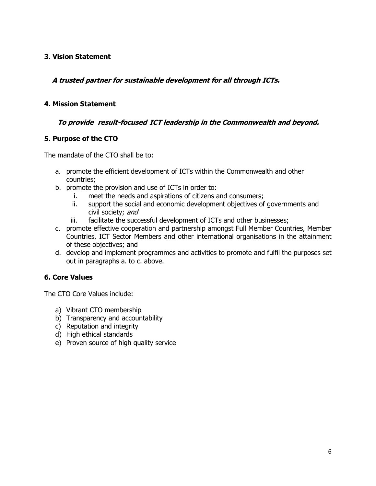#### <span id="page-5-0"></span>**3. Vision Statement**

#### **A trusted partner for sustainable development for all through ICTs.**

#### <span id="page-5-1"></span>**4. Mission Statement**

#### **To provide result-focused ICT leadership in the Commonwealth and beyond.**

#### <span id="page-5-2"></span>**5. Purpose of the CTO**

The mandate of the CTO shall be to:

- a. promote the efficient development of ICTs within the Commonwealth and other countries;
- b. promote the provision and use of ICTs in order to:
	- i. meet the needs and aspirations of citizens and consumers;
	- ii. support the social and economic development objectives of governments and civil society; and
	- iii. facilitate the successful development of ICTs and other businesses;
- c. promote effective cooperation and partnership amongst Full Member Countries, Member Countries, ICT Sector Members and other international organisations in the attainment of these objectives; and
- d. develop and implement programmes and activities to promote and fulfil the purposes set out in paragraphs a. to c. above.

#### <span id="page-5-3"></span>**6. Core Values**

The CTO Core Values include:

- a) Vibrant CTO membership
- b) Transparency and accountability
- c) Reputation and integrity
- d) High ethical standards
- e) Proven source of high quality service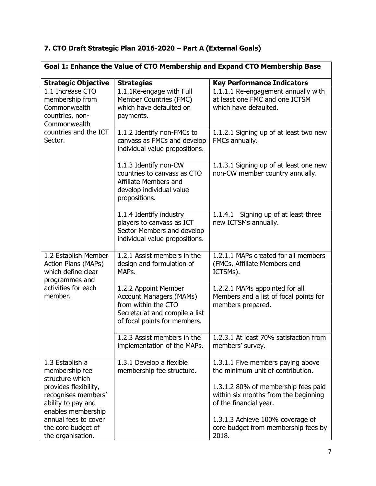<span id="page-6-0"></span>

| 7. CTO Draft Strategic Plan 2016-2020 - Part A (External Goals) |  |
|-----------------------------------------------------------------|--|
|                                                                 |  |

| Goal 1: Enhance the Value of CTO Membership and Expand CTO Membership Base                 |                                                                                                                                                 |                                                                                                       |
|--------------------------------------------------------------------------------------------|-------------------------------------------------------------------------------------------------------------------------------------------------|-------------------------------------------------------------------------------------------------------|
| <b>Strategic Objective</b>                                                                 | <b>Strategies</b>                                                                                                                               | <b>Key Performance Indicators</b>                                                                     |
| 1.1 Increase CTO<br>membership from<br>Commonwealth<br>countries, non-<br>Commonwealth     | 1.1.1Re-engage with Full<br>Member Countries (FMC)<br>which have defaulted on<br>payments.                                                      | 1.1.1.1 Re-engagement annually with<br>at least one FMC and one ICTSM<br>which have defaulted.        |
| countries and the ICT<br>Sector.                                                           | 1.1.2 Identify non-FMCs to<br>canvass as FMCs and develop<br>individual value propositions.                                                     | 1.1.2.1 Signing up of at least two new<br>FMCs annually.                                              |
|                                                                                            | 1.1.3 Identify non-CW<br>countries to canvass as CTO<br>Affiliate Members and<br>develop individual value<br>propositions.                      | 1.1.3.1 Signing up of at least one new<br>non-CW member country annually.                             |
|                                                                                            | 1.1.4 Identify industry<br>players to canvass as ICT<br>Sector Members and develop<br>individual value propositions.                            | 1.1.4.1 Signing up of at least three<br>new ICTSMs annually.                                          |
| 1.2 Establish Member<br><b>Action Plans (MAPs)</b><br>which define clear<br>programmes and | 1.2.1 Assist members in the<br>design and formulation of<br>MAPs.                                                                               | 1.2.1.1 MAPs created for all members<br>(FMCs, Affiliate Members and<br>ICTSMs).                      |
| activities for each<br>member.                                                             | 1.2.2 Appoint Member<br><b>Account Managers (MAMs)</b><br>from within the CTO<br>Secretariat and compile a list<br>of focal points for members. | 1.2.2.1 MAMs appointed for all<br>Members and a list of focal points for<br>members prepared.         |
|                                                                                            | $1.2.3$ Assist members in the<br>implementation of the MAPs.                                                                                    | 1.2.3.1 At least 70% satisfaction from<br>members' survey.                                            |
| 1.3 Establish a<br>membership fee<br>structure which                                       | 1.3.1 Develop a flexible<br>membership fee structure.                                                                                           | 1.3.1.1 Five members paying above<br>the minimum unit of contribution.                                |
| provides flexibility,<br>recognises members'<br>ability to pay and<br>enables membership   |                                                                                                                                                 | 1.3.1.2 80% of membership fees paid<br>within six months from the beginning<br>of the financial year. |
| annual fees to cover<br>the core budget of<br>the organisation.                            |                                                                                                                                                 | 1.3.1.3 Achieve 100% coverage of<br>core budget from membership fees by<br>2018.                      |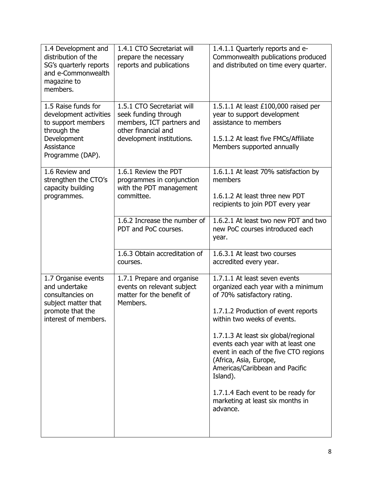| 1.4 Development and<br>distribution of the<br>SG's quarterly reports<br>and e-Commonwealth<br>magazine to<br>members.               | 1.4.1 CTO Secretariat will<br>prepare the necessary<br>reports and publications                                                                    | 1.4.1.1 Quarterly reports and e-<br>Commonwealth publications produced<br>and distributed on time every quarter.                                                                                                                                                                                                                                                                                                                                              |
|-------------------------------------------------------------------------------------------------------------------------------------|----------------------------------------------------------------------------------------------------------------------------------------------------|---------------------------------------------------------------------------------------------------------------------------------------------------------------------------------------------------------------------------------------------------------------------------------------------------------------------------------------------------------------------------------------------------------------------------------------------------------------|
| 1.5 Raise funds for<br>development activities<br>to support members<br>through the<br>Development<br>Assistance<br>Programme (DAP). | 1.5.1 CTO Secretariat will<br>seek funding through<br>members, ICT partners and<br>other financial and<br>development institutions.                | 1.5.1.1 At least £100,000 raised per<br>year to support development<br>assistance to members<br>1.5.1.2 At least five FMCs/Affiliate<br>Members supported annually                                                                                                                                                                                                                                                                                            |
| 1.6 Review and<br>strengthen the CTO's<br>capacity building<br>programmes.                                                          | 1.6.1 Review the PDT<br>programmes in conjunction<br>with the PDT management<br>committee.<br>1.6.2 Increase the number of<br>PDT and PoC courses. | 1.6.1.1 At least 70% satisfaction by<br>members<br>1.6.1.2 At least three new PDT<br>recipients to join PDT every year<br>1.6.2.1 At least two new PDT and two<br>new PoC courses introduced each                                                                                                                                                                                                                                                             |
|                                                                                                                                     | 1.6.3 Obtain accreditation of<br>courses.                                                                                                          | year.<br>1.6.3.1 At least two courses<br>accredited every year.                                                                                                                                                                                                                                                                                                                                                                                               |
| 1.7 Organise events<br>and undertake<br>consultancies on<br>subject matter that<br>promote that the<br>interest of members.         | 1.7.1 Prepare and organise<br>events on relevant subject<br>matter for the benefit of<br>Members.                                                  | 1.7.1.1 At least seven events<br>organized each year with a minimum<br>of 70% satisfactory rating.<br>1.7.1.2 Production of event reports<br>within two weeks of events.<br>1.7.1.3 At least six global/regional<br>events each year with at least one<br>event in each of the five CTO regions<br>(Africa, Asia, Europe,<br>Americas/Caribbean and Pacific<br>Island).<br>1.7.1.4 Each event to be ready for<br>marketing at least six months in<br>advance. |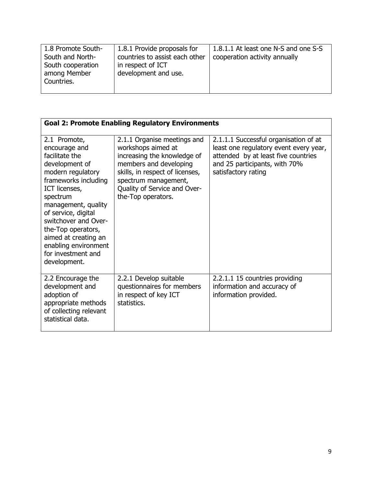| 1.8 Promote South-<br>South and North-          | 1.8.1 Provide proposals for<br>countries to assist each other | 1.8.1.1 At least one N-S and one S-S<br>cooperation activity annually |
|-------------------------------------------------|---------------------------------------------------------------|-----------------------------------------------------------------------|
| South cooperation<br>among Member<br>Countries. | in respect of ICT<br>development and use.                     |                                                                       |
|                                                 |                                                               |                                                                       |

|                                                                                                                                                                                                                                                                                                                               |                                                                                                                                                                                                                             | <b>Goal 2: Promote Enabling Regulatory Environments</b>                                                                                                                        |  |  |
|-------------------------------------------------------------------------------------------------------------------------------------------------------------------------------------------------------------------------------------------------------------------------------------------------------------------------------|-----------------------------------------------------------------------------------------------------------------------------------------------------------------------------------------------------------------------------|--------------------------------------------------------------------------------------------------------------------------------------------------------------------------------|--|--|
| 2.1 Promote,<br>encourage and<br>facilitate the<br>development of<br>modern regulatory<br>frameworks including<br>ICT licenses,<br>spectrum<br>management, quality<br>of service, digital<br>switchover and Over-<br>the-Top operators,<br>aimed at creating an<br>enabling environment<br>for investment and<br>development. | 2.1.1 Organise meetings and<br>workshops aimed at<br>increasing the knowledge of<br>members and developing<br>skills, in respect of licenses,<br>spectrum management,<br>Quality of Service and Over-<br>the-Top operators. | 2.1.1.1 Successful organisation of at<br>least one regulatory event every year,<br>attended by at least five countries<br>and 25 participants, with 70%<br>satisfactory rating |  |  |
| 2.2 Encourage the<br>development and<br>adoption of<br>appropriate methods<br>of collecting relevant<br>statistical data.                                                                                                                                                                                                     | 2.2.1 Develop suitable<br>questionnaires for members<br>in respect of key ICT<br>statistics.                                                                                                                                | 2.2.1.1 15 countries providing<br>information and accuracy of<br>information provided.                                                                                         |  |  |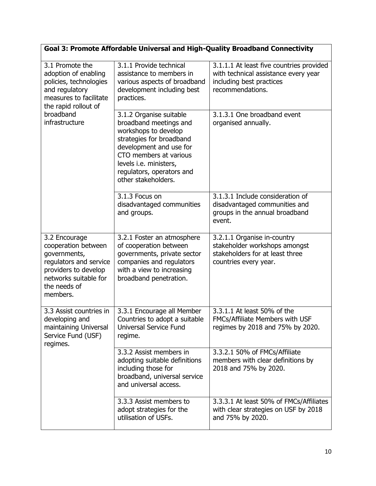# **Goal 3: Promote Affordable Universal and High-Quality Broadband Connectivity**

| 3.1 Promote the<br>adoption of enabling<br>policies, technologies<br>and regulatory<br>measures to facilitate<br>the rapid rollout of<br>broadband<br>infrastructure | 3.1.1 Provide technical<br>assistance to members in<br>various aspects of broadband<br>development including best                                                      | 3.1.1.1 At least five countries provided<br>with technical assistance every year<br>including best practices<br>recommendations. |
|----------------------------------------------------------------------------------------------------------------------------------------------------------------------|------------------------------------------------------------------------------------------------------------------------------------------------------------------------|----------------------------------------------------------------------------------------------------------------------------------|
|                                                                                                                                                                      | practices.<br>3.1.2 Organise suitable<br>broadband meetings and<br>workshops to develop                                                                                | 3.1.3.1 One broadband event<br>organised annually.                                                                               |
|                                                                                                                                                                      | strategies for broadband<br>development and use for<br>CTO members at various<br>levels i.e. ministers,<br>regulators, operators and<br>other stakeholders.            |                                                                                                                                  |
|                                                                                                                                                                      | 3.1.3 Focus on<br>disadvantaged communities<br>and groups.                                                                                                             | 3.1.3.1 Include consideration of<br>disadvantaged communities and<br>groups in the annual broadband<br>event.                    |
| 3.2 Encourage<br>cooperation between<br>governments,<br>regulators and service<br>providers to develop<br>networks suitable for<br>the needs of<br>members.          | 3.2.1 Foster an atmosphere<br>of cooperation between<br>governments, private sector<br>companies and regulators<br>with a view to increasing<br>broadband penetration. | 3.2.1.1 Organise in-country<br>stakeholder workshops amongst<br>stakeholders for at least three<br>countries every year.         |
| 3.3 Assist countries in<br>developing and<br>maintaining Universal<br>Service Fund (USF)<br>regimes.                                                                 | 3.3.1 Encourage all Member<br>Countries to adopt a suitable<br><b>Universal Service Fund</b><br>regime.                                                                | 3.3.1.1 At least 50% of the<br>FMCs/Affiliate Members with USF<br>regimes by 2018 and 75% by 2020.                               |
|                                                                                                                                                                      | 3.3.2 Assist members in<br>adopting suitable definitions<br>including those for<br>broadband, universal service<br>and universal access.                               | 3.3.2.1 50% of FMCs/Affiliate<br>members with clear definitions by<br>2018 and 75% by 2020.                                      |
|                                                                                                                                                                      | 3.3.3 Assist members to<br>adopt strategies for the<br>utilisation of USFs.                                                                                            | 3.3.3.1 At least 50% of FMCs/Affiliates<br>with clear strategies on USF by 2018<br>and 75% by 2020.                              |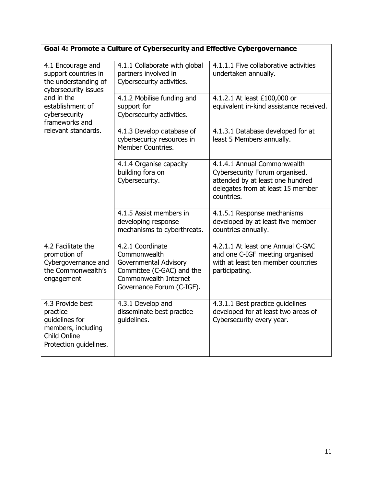# **Goal 4: Promote a Culture of Cybersecurity and Effective Cybergovernance**

| 4.1 Encourage and<br>support countries in<br>the understanding of<br>cybersecurity issues                      | 4.1.1 Collaborate with global<br>partners involved in<br>Cybersecurity activities.                                                           | 4.1.1.1 Five collaborative activities<br>undertaken annually.                                                                                        |
|----------------------------------------------------------------------------------------------------------------|----------------------------------------------------------------------------------------------------------------------------------------------|------------------------------------------------------------------------------------------------------------------------------------------------------|
| and in the<br>establishment of<br>cybersecurity<br>frameworks and                                              | 4.1.2 Mobilise funding and<br>support for<br>Cybersecurity activities.                                                                       | 4.1.2.1 At least £100,000 or<br>equivalent in-kind assistance received.                                                                              |
| relevant standards.                                                                                            | 4.1.3 Develop database of<br>cybersecurity resources in<br>Member Countries.                                                                 | 4.1.3.1 Database developed for at<br>least 5 Members annually.                                                                                       |
|                                                                                                                | 4.1.4 Organise capacity<br>building fora on<br>Cybersecurity.                                                                                | 4.1.4.1 Annual Commonwealth<br>Cybersecurity Forum organised,<br>attended by at least one hundred<br>delegates from at least 15 member<br>countries. |
|                                                                                                                | 4.1.5 Assist members in<br>developing response<br>mechanisms to cyberthreats.                                                                | 4.1.5.1 Response mechanisms<br>developed by at least five member<br>countries annually.                                                              |
| 4.2 Facilitate the<br>promotion of<br>Cybergovernance and<br>the Commonwealth's<br>engagement                  | 4.2.1 Coordinate<br>Commonwealth<br>Governmental Advisory<br>Committee (C-GAC) and the<br>Commonwealth Internet<br>Governance Forum (C-IGF). | 4.2.1.1 At least one Annual C-GAC<br>and one C-IGF meeting organised<br>with at least ten member countries<br>participating.                         |
| 4.3 Provide best<br>practice<br>guidelines for<br>members, including<br>Child Online<br>Protection guidelines. | 4.3.1 Develop and<br>disseminate best practice<br>guidelines.                                                                                | 4.3.1.1 Best practice guidelines<br>developed for at least two areas of<br>Cybersecurity every year.                                                 |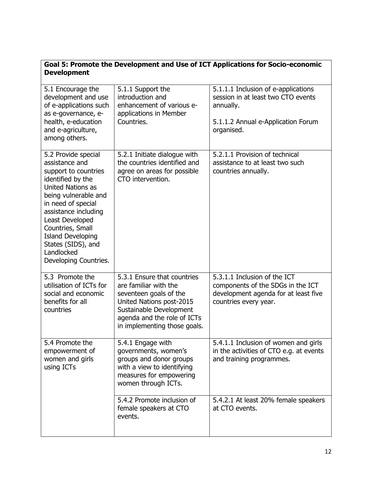### **Goal 5: Promote the Development and Use of ICT Applications for Socio-economic Development**

| 5.1 Encourage the<br>development and use<br>of e-applications such<br>as e-governance, e-<br>health, e-education<br>and e-agriculture,<br>among others.                                                                                                                                                              | 5.1.1 Support the<br>introduction and<br>enhancement of various e-<br>applications in Member<br>Countries.                                                                                           | 5.1.1.1 Inclusion of e-applications<br>session in at least two CTO events<br>annually.<br>5.1.1.2 Annual e-Application Forum<br>organised. |
|----------------------------------------------------------------------------------------------------------------------------------------------------------------------------------------------------------------------------------------------------------------------------------------------------------------------|------------------------------------------------------------------------------------------------------------------------------------------------------------------------------------------------------|--------------------------------------------------------------------------------------------------------------------------------------------|
| 5.2 Provide special<br>assistance and<br>support to countries<br>identified by the<br><b>United Nations as</b><br>being vulnerable and<br>in need of special<br>assistance including<br>Least Developed<br>Countries, Small<br><b>Island Developing</b><br>States (SIDS), and<br>Landlocked<br>Developing Countries. | 5.2.1 Initiate dialogue with<br>the countries identified and<br>agree on areas for possible<br>CTO intervention.                                                                                     | 5.2.1.1 Provision of technical<br>assistance to at least two such<br>countries annually.                                                   |
| 5.3 Promote the<br>utilisation of ICTs for<br>social and economic<br>benefits for all<br>countries                                                                                                                                                                                                                   | 5.3.1 Ensure that countries<br>are familiar with the<br>seventeen goals of the<br>United Nations post-2015<br>Sustainable Development<br>agenda and the role of ICTs<br>in implementing those goals. | 5.3.1.1 Inclusion of the ICT<br>components of the SDGs in the ICT<br>development agenda for at least five<br>countries every year.         |
| 5.4 Promote the<br>empowerment of<br>women and girls<br>using ICTs                                                                                                                                                                                                                                                   | 5.4.1 Engage with<br>governments, women's<br>groups and donor groups<br>with a view to identifying<br>measures for empowering<br>women through ICTs.                                                 | 5.4.1.1 Inclusion of women and girls<br>in the activities of CTO e.g. at events<br>and training programmes.                                |
|                                                                                                                                                                                                                                                                                                                      | 5.4.2 Promote inclusion of<br>female speakers at CTO<br>events.                                                                                                                                      | 5.4.2.1 At least 20% female speakers<br>at CTO events.                                                                                     |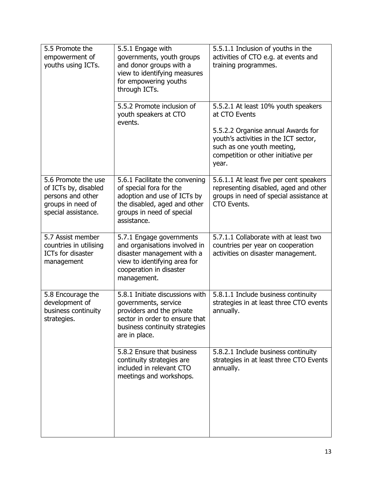| 5.5 Promote the<br>empowerment of<br>youths using ICTs.                                                      | 5.5.1 Engage with<br>governments, youth groups<br>and donor groups with a<br>view to identifying measures<br>for empowering youths<br>through ICTs.                       | 5.5.1.1 Inclusion of youths in the<br>activities of CTO e.g. at events and<br>training programmes.                                                                                                                |
|--------------------------------------------------------------------------------------------------------------|---------------------------------------------------------------------------------------------------------------------------------------------------------------------------|-------------------------------------------------------------------------------------------------------------------------------------------------------------------------------------------------------------------|
|                                                                                                              | 5.5.2 Promote inclusion of<br>youth speakers at CTO<br>events.                                                                                                            | 5.5.2.1 At least 10% youth speakers<br>at CTO Events<br>5.5.2.2 Organise annual Awards for<br>youth's activities in the ICT sector,<br>such as one youth meeting,<br>competition or other initiative per<br>year. |
| 5.6 Promote the use<br>of ICTs by, disabled<br>persons and other<br>groups in need of<br>special assistance. | 5.6.1 Facilitate the convening<br>of special fora for the<br>adoption and use of ICTs by<br>the disabled, aged and other<br>groups in need of special<br>assistance.      | 5.6.1.1 At least five per cent speakers<br>representing disabled, aged and other<br>groups in need of special assistance at<br>CTO Events.                                                                        |
| 5.7 Assist member<br>countries in utilising<br><b>ICTs for disaster</b><br>management                        | 5.7.1 Engage governments<br>and organisations involved in<br>disaster management with a<br>view to identifying area for<br>cooperation in disaster<br>management.         | 5.7.1.1 Collaborate with at least two<br>countries per year on cooperation<br>activities on disaster management.                                                                                                  |
| 5.8 Encourage the<br>development of<br>business continuity<br>strategies.                                    | 5.8.1 Initiate discussions with<br>governments, service<br>providers and the private<br>sector in order to ensure that<br>business continuity strategies<br>are in place. | 5.8.1.1 Include business continuity<br>strategies in at least three CTO events<br>annually.                                                                                                                       |
|                                                                                                              | 5.8.2 Ensure that business<br>continuity strategies are<br>included in relevant CTO<br>meetings and workshops.                                                            | 5.8.2.1 Include business continuity<br>strategies in at least three CTO Events<br>annually.                                                                                                                       |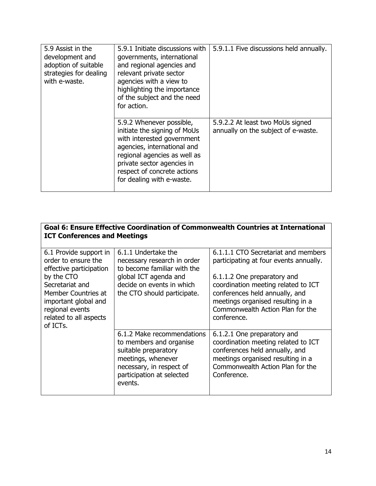| 5.9 Assist in the<br>development and<br>adoption of suitable<br>strategies for dealing<br>with e-waste. | 5.9.1 Initiate discussions with<br>governments, international<br>and regional agencies and<br>relevant private sector<br>agencies with a view to<br>highlighting the importance<br>of the subject and the need<br>for action.                   | 5.9.1.1 Five discussions held annually.                                 |
|---------------------------------------------------------------------------------------------------------|-------------------------------------------------------------------------------------------------------------------------------------------------------------------------------------------------------------------------------------------------|-------------------------------------------------------------------------|
|                                                                                                         | 5.9.2 Whenever possible,<br>initiate the signing of MoUs<br>with interested government<br>agencies, international and<br>regional agencies as well as<br>private sector agencies in<br>respect of concrete actions<br>for dealing with e-waste. | 5.9.2.2 At least two MoUs signed<br>annually on the subject of e-waste. |

| Goal 6: Ensure Effective Coordination of Commonwealth Countries at International<br><b>ICT Conferences and Meetings</b>                                                                                                                                                                                                                                                                     |                                                                                                                                                                                                                                                                               |                                                                                                                                                                                              |
|---------------------------------------------------------------------------------------------------------------------------------------------------------------------------------------------------------------------------------------------------------------------------------------------------------------------------------------------------------------------------------------------|-------------------------------------------------------------------------------------------------------------------------------------------------------------------------------------------------------------------------------------------------------------------------------|----------------------------------------------------------------------------------------------------------------------------------------------------------------------------------------------|
| 6.1.1 Undertake the<br>6.1 Provide support in<br>order to ensure the<br>necessary research in order<br>to become familiar with the<br>effective participation<br>by the CTO<br>global ICT agenda and<br>decide on events in which<br>Secretariat and<br>Member Countries at<br>the CTO should participate.<br>important global and<br>regional events<br>related to all aspects<br>of ICTs. | 6.1.1.1 CTO Secretariat and members<br>participating at four events annually.<br>6.1.1.2 One preparatory and<br>coordination meeting related to ICT<br>conferences held annually, and<br>meetings organised resulting in a<br>Commonwealth Action Plan for the<br>conference. |                                                                                                                                                                                              |
|                                                                                                                                                                                                                                                                                                                                                                                             | 6.1.2 Make recommendations<br>to members and organise<br>suitable preparatory<br>meetings, whenever<br>necessary, in respect of<br>participation at selected<br>events.                                                                                                       | 6.1.2.1 One preparatory and<br>coordination meeting related to ICT<br>conferences held annually, and<br>meetings organised resulting in a<br>Commonwealth Action Plan for the<br>Conference. |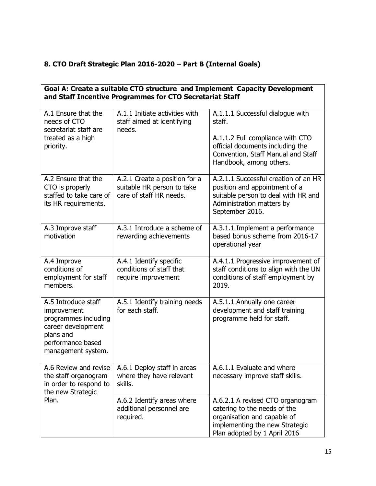## <span id="page-14-0"></span>**8. CTO Draft Strategic Plan 2016-2020 – Part B (Internal Goals)**

| Goal A: Create a suitable CTO structure and Implement Capacity Development<br>and Staff Incentive Programmes for CTO Secretariat Staff   |                                                                                        |                                                                                                                                                                                     |  |  |
|------------------------------------------------------------------------------------------------------------------------------------------|----------------------------------------------------------------------------------------|-------------------------------------------------------------------------------------------------------------------------------------------------------------------------------------|--|--|
| A.1 Ensure that the<br>needs of CTO<br>secretariat staff are<br>treated as a high<br>priority.                                           | A.1.1 Initiate activities with<br>staff aimed at identifying<br>needs.                 | A.1.1.1 Successful dialogue with<br>staff.<br>A.1.1.2 Full compliance with CTO<br>official documents including the<br>Convention, Staff Manual and Staff<br>Handbook, among others. |  |  |
| A.2 Ensure that the<br>CTO is properly<br>staffed to take care of<br>its HR requirements.                                                | A.2.1 Create a position for a<br>suitable HR person to take<br>care of staff HR needs. | A.2.1.1 Successful creation of an HR<br>position and appointment of a<br>suitable person to deal with HR and<br>Administration matters by<br>September 2016.                        |  |  |
| A.3 Improve staff<br>motivation                                                                                                          | A.3.1 Introduce a scheme of<br>rewarding achievements                                  | A.3.1.1 Implement a performance<br>based bonus scheme from 2016-17<br>operational year                                                                                              |  |  |
| A.4 Improve<br>conditions of<br>employment for staff<br>members.                                                                         | A.4.1 Identify specific<br>conditions of staff that<br>require improvement             | A.4.1.1 Progressive improvement of<br>staff conditions to align with the UN<br>conditions of staff employment by<br>2019.                                                           |  |  |
| A.5 Introduce staff<br>improvement<br>programmes including<br>career development<br>plans and<br>performance based<br>management system. | A.5.1 Identify training needs<br>for each staff.                                       | A.5.1.1 Annually one career<br>development and staff training<br>programme held for staff.                                                                                          |  |  |
| A.6 Review and revise<br>the staff organogram<br>in order to respond to<br>the new Strategic                                             | A.6.1 Deploy staff in areas<br>where they have relevant<br>skills.                     | A.6.1.1 Evaluate and where<br>necessary improve staff skills.                                                                                                                       |  |  |
| Plan.                                                                                                                                    | A.6.2 Identify areas where<br>additional personnel are<br>required.                    | A.6.2.1 A revised CTO organogram<br>catering to the needs of the<br>organisation and capable of<br>implementing the new Strategic<br>Plan adopted by 1 April 2016                   |  |  |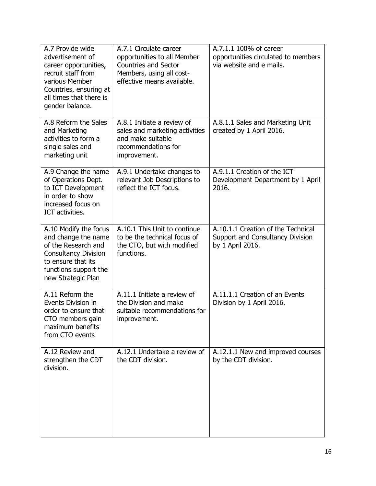| A.7 Provide wide<br>advertisement of<br>career opportunities,<br>recruit staff from<br>various Member<br>Countries, ensuring at<br>all times that there is<br>gender balance. | A.7.1 Circulate career<br>opportunities to all Member<br><b>Countries and Sector</b><br>Members, using all cost-<br>effective means available. | A.7.1.1 100% of career<br>opportunities circulated to members<br>via website and e mails.  |
|-------------------------------------------------------------------------------------------------------------------------------------------------------------------------------|------------------------------------------------------------------------------------------------------------------------------------------------|--------------------------------------------------------------------------------------------|
| A.8 Reform the Sales<br>and Marketing<br>activities to form a<br>single sales and<br>marketing unit                                                                           | A.8.1 Initiate a review of<br>sales and marketing activities<br>and make suitable<br>recommendations for<br>improvement.                       | A.8.1.1 Sales and Marketing Unit<br>created by 1 April 2016.                               |
| A.9 Change the name<br>of Operations Dept.<br>to ICT Development<br>in order to show<br>increased focus on<br>ICT activities.                                                 | A.9.1 Undertake changes to<br>relevant Job Descriptions to<br>reflect the ICT focus.                                                           | A.9.1.1 Creation of the ICT<br>Development Department by 1 April<br>2016.                  |
| A.10 Modify the focus<br>and change the name<br>of the Research and<br><b>Consultancy Division</b><br>to ensure that its<br>functions support the<br>new Strategic Plan       | A.10.1 This Unit to continue<br>to be the technical focus of<br>the CTO, but with modified<br>functions.                                       | A.10.1.1 Creation of the Technical<br>Support and Consultancy Division<br>by 1 April 2016. |
| A.11 Reform the<br>Events Division in<br>order to ensure that<br>CTO members gain<br>maximum benefits<br>from CTO events                                                      | A.11.1 Initiate a review of<br>the Division and make<br>suitable recommendations for<br>improvement.                                           | A.11.1.1 Creation of an Events<br>Division by 1 April 2016.                                |
| A.12 Review and<br>strengthen the CDT<br>division.                                                                                                                            | A.12.1 Undertake a review of<br>the CDT division.                                                                                              | A.12.1.1 New and improved courses<br>by the CDT division.                                  |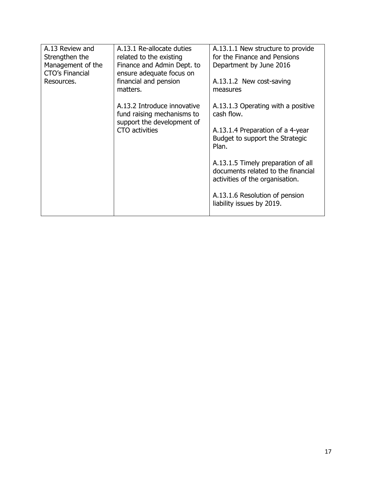| A.13 Review and   | A.13.1 Re-allocate duties                                                               | A.13.1.1 New structure to provide                                                                           |
|-------------------|-----------------------------------------------------------------------------------------|-------------------------------------------------------------------------------------------------------------|
| Strengthen the    | related to the existing                                                                 | for the Finance and Pensions                                                                                |
| Management of the | Finance and Admin Dept. to                                                              | Department by June 2016                                                                                     |
| CTO's Financial   | ensure adequate focus on                                                                |                                                                                                             |
| Resources.        | financial and pension                                                                   | A.13.1.2 New cost-saving                                                                                    |
|                   | matters.                                                                                | measures                                                                                                    |
|                   |                                                                                         |                                                                                                             |
|                   | A.13.2 Introduce innovative<br>fund raising mechanisms to<br>support the development of | A.13.1.3 Operating with a positive<br>cash flow.                                                            |
|                   | CTO activities                                                                          | A.13.1.4 Preparation of a 4-year<br>Budget to support the Strategic<br>Plan.                                |
|                   |                                                                                         | A.13.1.5 Timely preparation of all<br>documents related to the financial<br>activities of the organisation. |
|                   |                                                                                         | A.13.1.6 Resolution of pension<br>liability issues by 2019.                                                 |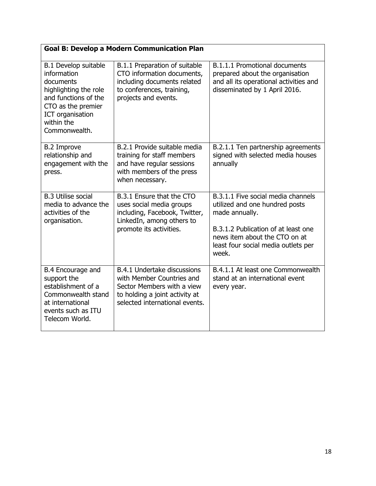| <b>Goal B: Develop a Modern Communication Plan</b>                                                                                                                                |                                                                                                                                                                   |                                                                                                                                                                                                                |  |  |
|-----------------------------------------------------------------------------------------------------------------------------------------------------------------------------------|-------------------------------------------------------------------------------------------------------------------------------------------------------------------|----------------------------------------------------------------------------------------------------------------------------------------------------------------------------------------------------------------|--|--|
| B.1 Develop suitable<br>information<br>documents<br>highlighting the role<br>and functions of the<br>CTO as the premier<br><b>ICT</b> organisation<br>within the<br>Commonwealth. | B.1.1 Preparation of suitable<br>CTO information documents,<br>including documents related<br>to conferences, training,<br>projects and events.                   | <b>B.1.1.1 Promotional documents</b><br>prepared about the organisation<br>and all its operational activities and<br>disseminated by 1 April 2016.                                                             |  |  |
| <b>B.2 Improve</b><br>relationship and<br>engagement with the<br>press.                                                                                                           | B.2.1 Provide suitable media<br>training for staff members<br>and have regular sessions<br>with members of the press<br>when necessary.                           | B.2.1.1 Ten partnership agreements<br>signed with selected media houses<br>annually                                                                                                                            |  |  |
| <b>B.3 Utilise social</b><br>media to advance the<br>activities of the<br>organisation.                                                                                           | B.3.1 Ensure that the CTO<br>uses social media groups<br>including, Facebook, Twitter,<br>LinkedIn, among others to<br>promote its activities.                    | B.3.1.1 Five social media channels<br>utilized and one hundred posts<br>made annually.<br>B.3.1.2 Publication of at least one<br>news item about the CTO on at<br>least four social media outlets per<br>week. |  |  |
| <b>B.4 Encourage and</b><br>support the<br>establishment of a<br>Commonwealth stand<br>at international<br>events such as ITU<br>Telecom World.                                   | <b>B.4.1 Undertake discussions</b><br>with Member Countries and<br>Sector Members with a view<br>to holding a joint activity at<br>selected international events. | B.4.1.1 At least one Commonwealth<br>stand at an international event<br>every year.                                                                                                                            |  |  |